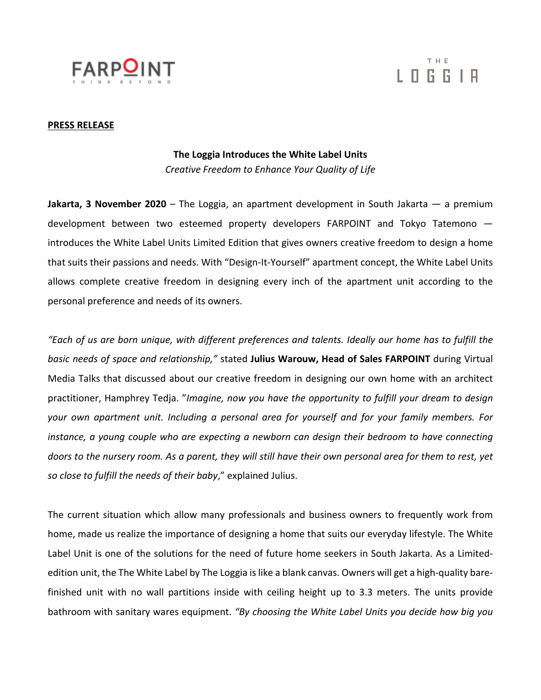

# T H E LOGGIA

#### **PRESS RELEASE**

## **The Loggia Introduces the White Label Units**

*Creative Freedom to Enhance Your Quality of Life*

**Jakarta, 3 November 2020** – The Loggia, an apartment development in South Jakarta — a premium development between two esteemed property developers FARPOINT and Tokyo Tatemono introduces the White Label Units Limited Edition that gives owners creative freedom to design a home that suits their passions and needs. With "Design-It-Yourself" apartment concept, the White Label Units allows complete creative freedom in designing every inch of the apartment unit according to the personal preference and needs of its owners.

*"Each of us are born unique, with different preferences and talents. Ideally our home has to fulfill the basic needs of space and relationship,"* stated **Julius Warouw, Head of Sales FARPOINT** during Virtual Media Talks that discussed about our creative freedom in designing our own home with an architect practitioner, Hamphrey Tedja. "*Imagine, now you have the opportunity to fulfill your dream to design your own apartment unit. Including a personal area for yourself and for your family members. For instance, a young couple who are expecting a newborn can design their bedroom to have connecting doors to the nursery room. As a parent, they will still have their own personal area for them to rest, yet so close to fulfill the needs of their baby*," explained Julius.

The current situation which allow many professionals and business owners to frequently work from home, made us realize the importance of designing a home that suits our everyday lifestyle. The White Label Unit is one of the solutions for the need of future home seekers in South Jakarta. As a Limitededition unit, the The White Label by The Loggia is like a blank canvas. Owners will get a high-quality barefinished unit with no wall partitions inside with ceiling height up to 3.3 meters. The units provide bathroom with sanitary wares equipment. *"By choosing the White Label Units you decide how big you*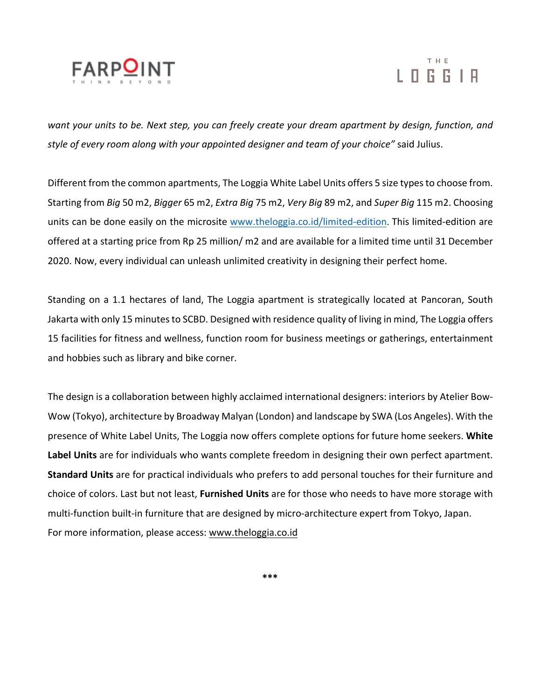

# T H E L O G G I A

*want your units to be. Next step, you can freely create your dream apartment by design, function, and style of every room along with your appointed designer and team of your choice"* said Julius.

Different from the common apartments, The Loggia White Label Units offers 5 size types to choose from. Starting from *Big* 50 m2, *Bigger* 65 m2, *Extra Big* 75 m2, *Very Big* 89 m2, and *Super Big* 115 m2. Choosing units can be done easily on the microsite www.theloggia.co.id/limited-edition. This limited-edition are offered at a starting price from Rp 25 million/ m2 and are available for a limited time until 31 December 2020. Now, every individual can unleash unlimited creativity in designing their perfect home.

Standing on a 1.1 hectares of land, The Loggia apartment is strategically located at Pancoran, South Jakarta with only 15 minutes to SCBD. Designed with residence quality of living in mind, The Loggia offers 15 facilities for fitness and wellness, function room for business meetings or gatherings, entertainment and hobbies such as library and bike corner.

The design is a collaboration between highly acclaimed international designers: interiors by Atelier Bow-Wow (Tokyo), architecture by Broadway Malyan (London) and landscape by SWA (Los Angeles). With the presence of White Label Units, The Loggia now offers complete options for future home seekers. **White Label Units** are for individuals who wants complete freedom in designing their own perfect apartment. **Standard Units** are for practical individuals who prefers to add personal touches for their furniture and choice of colors. Last but not least, **Furnished Units** are for those who needs to have more storage with multi-function built-in furniture that are designed by micro-architecture expert from Tokyo, Japan. For more information, please access: www.theloggia.co.id